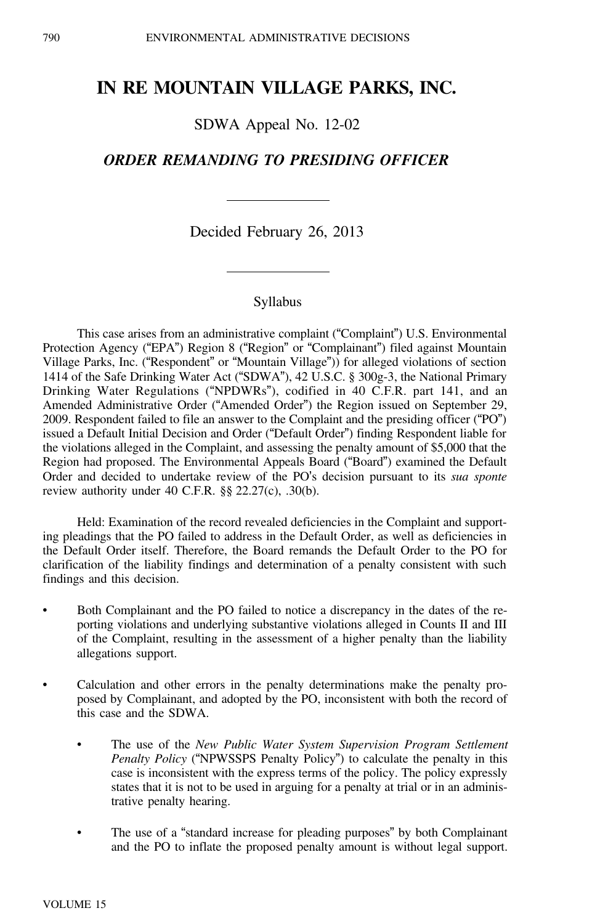# **IN RE MOUNTAIN VILLAGE PARKS, INC.**

SDWA Appeal No. 12-02

# *ORDER REMANDING TO PRESIDING OFFICER*

Decided February 26, 2013

#### Syllabus

This case arises from an administrative complaint ("Complaint") U.S. Environmental Protection Agency ("EPA") Region 8 ("Region" or "Complainant") filed against Mountain Village Parks, Inc. ("Respondent" or "Mountain Village")) for alleged violations of section 1414 of the Safe Drinking Water Act ("SDWA"), 42 U.S.C. § 300g-3, the National Primary Drinking Water Regulations ("NPDWRs"), codified in 40 C.F.R. part 141, and an Amended Administrative Order ("Amended Order") the Region issued on September 29, 2009. Respondent failed to file an answer to the Complaint and the presiding officer ("PO") issued a Default Initial Decision and Order ("Default Order") finding Respondent liable for the violations alleged in the Complaint, and assessing the penalty amount of \$5,000 that the Region had proposed. The Environmental Appeals Board ("Board") examined the Default Order and decided to undertake review of the PO's decision pursuant to its *sua sponte* review authority under 40 C.F.R. §§ 22.27(c), .30(b).

Held: Examination of the record revealed deficiencies in the Complaint and supporting pleadings that the PO failed to address in the Default Order, as well as deficiencies in the Default Order itself. Therefore, the Board remands the Default Order to the PO for clarification of the liability findings and determination of a penalty consistent with such findings and this decision.

- • Both Complainant and the PO failed to notice a discrepancy in the dates of the reporting violations and underlying substantive violations alleged in Counts II and III of the Complaint, resulting in the assessment of a higher penalty than the liability allegations support.
- • Calculation and other errors in the penalty determinations make the penalty proposed by Complainant, and adopted by the PO, inconsistent with both the record of this case and the SDWA.
	- • The use of the *New Public Water System Supervision Program Settlement Penalty Policy* ("NPWSSPS Penalty Policy") to calculate the penalty in this case is inconsistent with the express terms of the policy. The policy expressly states that it is not to be used in arguing for a penalty at trial or in an administrative penalty hearing.
	- • The use of a "standard increase for pleading purposes" by both Complainant and the PO to inflate the proposed penalty amount is without legal support.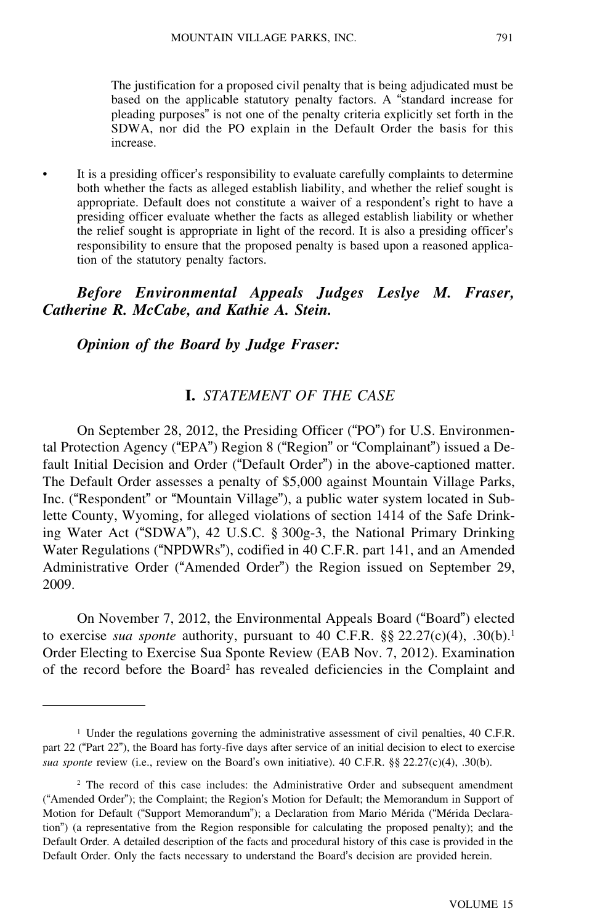The justification for a proposed civil penalty that is being adjudicated must be based on the applicable statutory penalty factors. A "standard increase for pleading purposes" is not one of the penalty criteria explicitly set forth in the SDWA, nor did the PO explain in the Default Order the basis for this increase.

 It is a presiding officer's responsibility to evaluate carefully complaints to determine both whether the facts as alleged establish liability, and whether the relief sought is appropriate. Default does not constitute a waiver of a respondent's right to have a presiding officer evaluate whether the facts as alleged establish liability or whether the relief sought is appropriate in light of the record. It is also a presiding officer'<sup>s</sup> responsibility to ensure that the proposed penalty is based upon a reasoned application of the statutory penalty factors.

*Before Environmental Appeals Judges Leslye M. Fraser, Catherine R. McCabe, and Kathie A. Stein.*

*Opinion of the Board by Judge Fraser:*

•

### **I.** *STATEMENT OF THE CASE*

On September 28, 2012, the Presiding Officer ("PO") for U.S. Environmental Protection Agency ("EPA") Region 8 ("Region" or "Complainant") issued a Default Initial Decision and Order ("Default Order") in the above-captioned matter. The Default Order assesses a penalty of \$5,000 against Mountain Village Parks, Inc. ("Respondent" or "Mountain Village"), a public water system located in Sublette County, Wyoming, for alleged violations of section 1414 of the Safe Drinking Water Act ("SDWA"), 42 U.S.C. § 300g-3, the National Primary Drinking Water Regulations ("NPDWRs"), codified in 40 C.F.R. part 141, and an Amended Administrative Order ("Amended Order") the Region issued on September 29, 2009.

On November 7, 2012, the Environmental Appeals Board ("Board") elected to exercise *sua sponte* authority, pursuant to 40 C.F.R.  $\S$ § 22.27(c)(4), .30(b).<sup>1</sup> Order Electing to Exercise Sua Sponte Review (EAB Nov. 7, 2012). Examination of the record before the Board<sup>2</sup> has revealed deficiencies in the Complaint and

<sup>&</sup>lt;sup>1</sup> Under the regulations governing the administrative assessment of civil penalties, 40 C.F.R. part 22 ("Part 22"), the Board has forty-five days after service of an initial decision to elect to exercise *sua sponte* review (i.e., review on the Board's own initiative). 40 C.F.R. §§ 22.27(c)(4), .30(b).

<sup>&</sup>lt;sup>2</sup> The record of this case includes: the Administrative Order and subsequent amendment ("Amended Order"); the Complaint; the Region's Motion for Default; the Memorandum in Support of Motion for Default ("Support Memorandum"); a Declaration from Mario Mérida ("Mérida Declaration") (a representative from the Region responsible for calculating the proposed penalty); and the Default Order. A detailed description of the facts and procedural history of this case is provided in the Default Order. Only the facts necessary to understand the Board's decision are provided herein.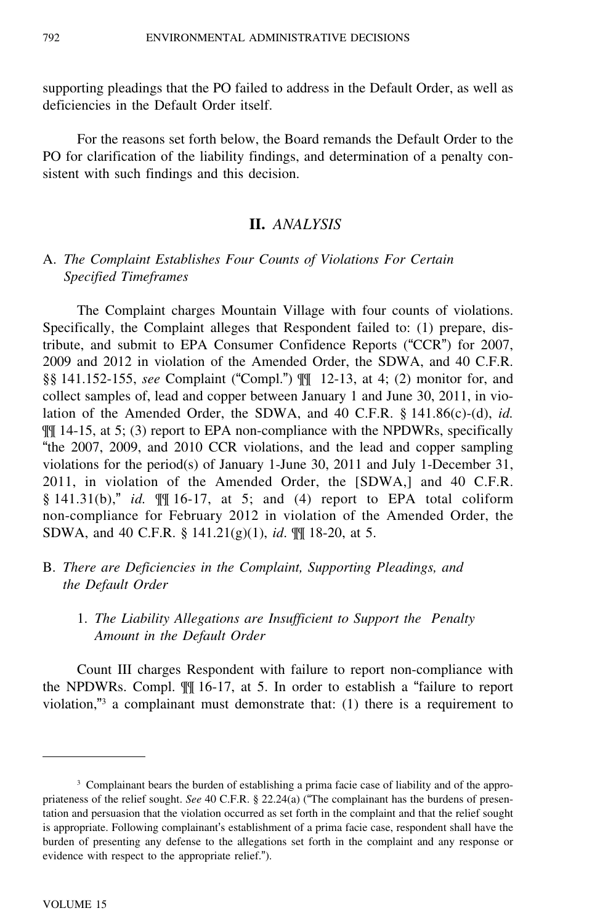supporting pleadings that the PO failed to address in the Default Order, as well as deficiencies in the Default Order itself.

For the reasons set forth below, the Board remands the Default Order to the PO for clarification of the liability findings, and determination of a penalty consistent with such findings and this decision.

#### **II.** *ANALYSIS*

# A. *The Complaint Establishes Four Counts of Violations For Certain Specified Timeframes*

The Complaint charges Mountain Village with four counts of violations. Specifically, the Complaint alleges that Respondent failed to: (1) prepare, distribute, and submit to EPA Consumer Confidence Reports ("CCR") for 2007, 2009 and 2012 in violation of the Amended Order, the SDWA, and 40 C.F.R. §§ 141.152-155, *see* Complaint ("Compl.") ¶¶ 12-13, at 4; (2) monitor for, and collect samples of, lead and copper between January 1 and June 30, 2011, in violation of the Amended Order, the SDWA, and 40 C.F.R. § 141.86(c)-(d), *id.* ¶¶ 14-15, at 5; (3) report to EPA non-compliance with the NPDWRs, specifically "the 2007, 2009, and 2010 CCR violations, and the lead and copper sampling violations for the period(s) of January 1-June 30, 2011 and July 1-December 31, 2011, in violation of the Amended Order, the [SDWA,] and 40 C.F.R. § 141.31(b)," *id.* ¶¶ 16-17, at 5; and (4) report to EPA total coliform non-compliance for February 2012 in violation of the Amended Order, the SDWA, and 40 C.F.R. § 141.21(g)(1), *id*. ¶¶ 18-20, at 5.

- B. *There are Deficiencies in the Complaint, Supporting Pleadings, and the Default Order*
	- 1. *The Liability Allegations are Insufficient to Support the Penalty Amount in the Default Order*

Count III charges Respondent with failure to report non-compliance with the NPDWRs. Compl. ¶¶ 16-17, at 5. In order to establish a "failure to report violation,"<sup>3</sup> a complainant must demonstrate that:  $(1)$  there is a requirement to

<sup>&</sup>lt;sup>3</sup> Complainant bears the burden of establishing a prima facie case of liability and of the appropriateness of the relief sought. *See* 40 C.F.R. § 22.24(a) ("The complainant has the burdens of presentation and persuasion that the violation occurred as set forth in the complaint and that the relief sought is appropriate. Following complainant's establishment of a prima facie case, respondent shall have the burden of presenting any defense to the allegations set forth in the complaint and any response or evidence with respect to the appropriate relief.").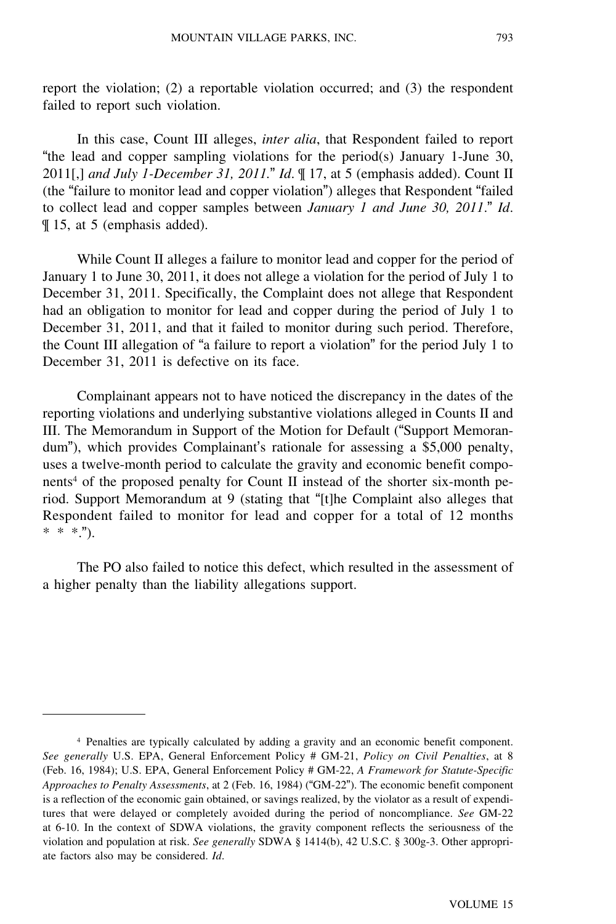report the violation; (2) a reportable violation occurred; and (3) the respondent failed to report such violation.

In this case, Count III alleges, *inter alia*, that Respondent failed to report "the lead and copper sampling violations for the period(s) January 1-June 30, 2011[,] *and July 1-December 31, 2011.*" *Id*. ¶ 17, at 5 (emphasis added). Count II (the "failure to monitor lead and copper violation") alleges that Respondent "failed to collect lead and copper samples between *January 1 and June 30, 2011*." *Id*. ¶ 15, at 5 (emphasis added).

While Count II alleges a failure to monitor lead and copper for the period of January 1 to June 30, 2011, it does not allege a violation for the period of July 1 to December 31, 2011. Specifically, the Complaint does not allege that Respondent had an obligation to monitor for lead and copper during the period of July 1 to December 31, 2011, and that it failed to monitor during such period. Therefore, the Count III allegation of "a failure to report a violation" for the period July 1 to December 31, 2011 is defective on its face.

Complainant appears not to have noticed the discrepancy in the dates of the reporting violations and underlying substantive violations alleged in Counts II and III. The Memorandum in Support of the Motion for Default ("Support Memorandum"), which provides Complainant's rationale for assessing a \$5,000 penalty, uses a twelve-month period to calculate the gravity and economic benefit components<sup>4</sup> of the proposed penalty for Count II instead of the shorter six-month period. Support Memorandum at 9 (stating that "[t]he Complaint also alleges that Respondent failed to monitor for lead and copper for a total of 12 months \* \* \*.").

The PO also failed to notice this defect, which resulted in the assessment of a higher penalty than the liability allegations support.

<sup>4</sup> Penalties are typically calculated by adding a gravity and an economic benefit component. *See generally* U.S. EPA, General Enforcement Policy # GM-21, *Policy on Civil Penalties*, at 8 (Feb. 16, 1984); U.S. EPA, General Enforcement Policy # GM-22, *A Framework for Statute-Specific Approaches to Penalty Assessments*, at 2 (Feb. 16, 1984) ("GM-22"). The economic benefit component is a reflection of the economic gain obtained, or savings realized, by the violator as a result of expenditures that were delayed or completely avoided during the period of noncompliance. *See* GM-22 at 6-10. In the context of SDWA violations, the gravity component reflects the seriousness of the violation and population at risk. *See generally* SDWA § 1414(b), 42 U.S.C. § 300g-3. Other appropriate factors also may be considered. *Id*.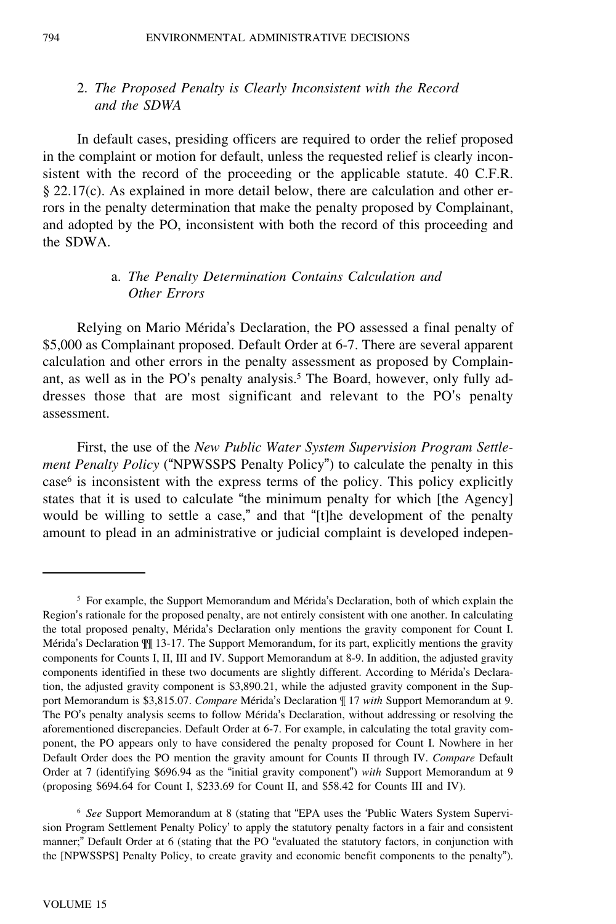# 2. *The Proposed Penalty is Clearly Inconsistent with the Record and the SDWA*

In default cases, presiding officers are required to order the relief proposed in the complaint or motion for default, unless the requested relief is clearly inconsistent with the record of the proceeding or the applicable statute. 40 C.F.R. § 22.17(c). As explained in more detail below, there are calculation and other errors in the penalty determination that make the penalty proposed by Complainant, and adopted by the PO, inconsistent with both the record of this proceeding and the SDWA.

### a. *The Penalty Determination Contains Calculation and Other Errors*

Relying on Mario Mérida's Declaration, the PO assessed a final penalty of \$5,000 as Complainant proposed. Default Order at 6-7. There are several apparent calculation and other errors in the penalty assessment as proposed by Complainant, as well as in the PO's penalty analysis.<sup>5</sup> The Board, however, only fully addresses those that are most significant and relevant to the PO's penalty assessment.

First, the use of the *New Public Water System Supervision Program Settlement Penalty Policy* ("NPWSSPS Penalty Policy") to calculate the penalty in this case<sup>6</sup> is inconsistent with the express terms of the policy. This policy explicitly states that it is used to calculate "the minimum penalty for which [the Agency] would be willing to settle a case," and that "[t]he development of the penalty amount to plead in an administrative or judicial complaint is developed indepen-

 $<sup>5</sup>$  For example, the Support Memorandum and Mérida's Declaration, both of which explain the</sup> Region's rationale for the proposed penalty, are not entirely consistent with one another. In calculating the total proposed penalty, Mérida's Declaration only mentions the gravity component for Count I. Mérida's Declaration  $\mathbb{I}$  13-17. The Support Memorandum, for its part, explicitly mentions the gravity components for Counts I, II, III and IV. Support Memorandum at 8-9. In addition, the adjusted gravity components identified in these two documents are slightly different. According to Mérida's Declaration, the adjusted gravity component is \$3,890.21, while the adjusted gravity component in the Support Memorandum is \$3,815.07. *Compare* Mérida's Declaration  $\parallel$  17 *with* Support Memorandum at 9. The PO's penalty analysis seems to follow Mérida's Declaration, without addressing or resolving the aforementioned discrepancies. Default Order at 6-7. For example, in calculating the total gravity component, the PO appears only to have considered the penalty proposed for Count I. Nowhere in her Default Order does the PO mention the gravity amount for Counts II through IV. *Compare* Default Order at 7 (identifying \$696.94 as the "initial gravity component") *with* Support Memorandum at 9 (proposing \$694.64 for Count I, \$233.69 for Count II, and \$58.42 for Counts III and IV).

<sup>6</sup> *See* Support Memorandum at 8 (stating that "EPA uses the 'Public Waters System Supervision Program Settlement Penalty Policy' to apply the statutory penalty factors in a fair and consistent manner;" Default Order at 6 (stating that the PO "evaluated the statutory factors, in conjunction with the [NPWSSPS] Penalty Policy, to create gravity and economic benefit components to the penalty").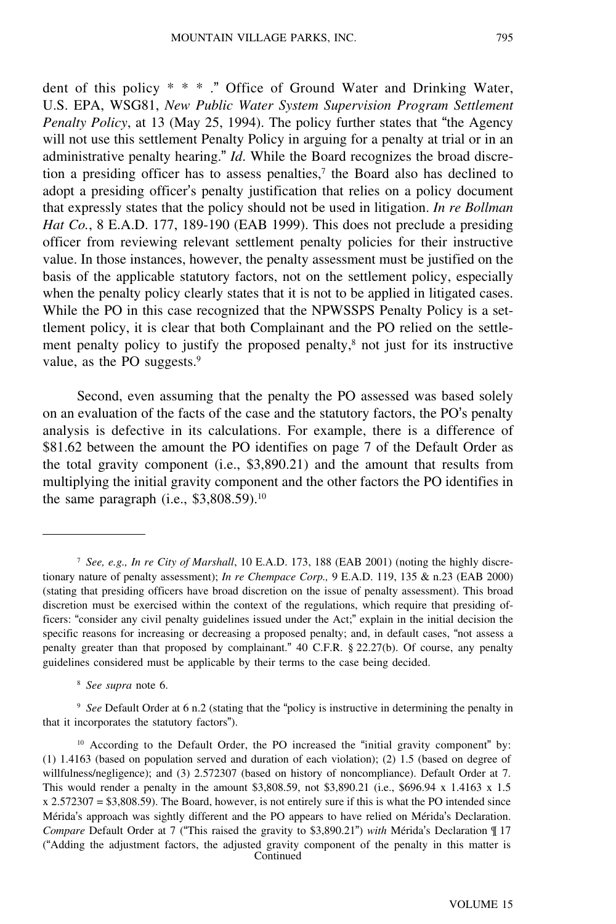dent of this policy \* \* \* ." Office of Ground Water and Drinking Water, U.S. EPA, WSG81, *New Public Water System Supervision Program Settlement Penalty Policy*, at 13 (May 25, 1994). The policy further states that "the Agency will not use this settlement Penalty Policy in arguing for a penalty at trial or in an administrative penalty hearing." *Id*. While the Board recognizes the broad discretion a presiding officer has to assess penalties, $\tau$  the Board also has declined to adopt a presiding officer's penalty justification that relies on a policy document that expressly states that the policy should not be used in litigation. *In re Bollman Hat Co.*, 8 E.A.D. 177, 189-190 (EAB 1999). This does not preclude a presiding officer from reviewing relevant settlement penalty policies for their instructive value. In those instances, however, the penalty assessment must be justified on the basis of the applicable statutory factors, not on the settlement policy, especially when the penalty policy clearly states that it is not to be applied in litigated cases. While the PO in this case recognized that the NPWSSPS Penalty Policy is a settlement policy, it is clear that both Complainant and the PO relied on the settlement penalty policy to justify the proposed penalty,<sup>8</sup> not just for its instructive value, as the PO suggests.<sup>9</sup>

Second, even assuming that the penalty the PO assessed was based solely on an evaluation of the facts of the case and the statutory factors, the PO's penalty analysis is defective in its calculations. For example, there is a difference of \$81.62 between the amount the PO identifies on page 7 of the Default Order as the total gravity component (i.e., \$3,890.21) and the amount that results from multiplying the initial gravity component and the other factors the PO identifies in the same paragraph (i.e., \$3,808.59).<sup>10</sup>

<sup>8</sup> *See supra* note 6.

<sup>9</sup> *See* Default Order at 6 n.2 (stating that the "policy is instructive in determining the penalty in that it incorporates the statutory factors").

<sup>7</sup> *See, e.g., In re City of Marshall*, 10 E.A.D. 173, 188 (EAB 2001) (noting the highly discretionary nature of penalty assessment); *In re Chempace Corp.,* 9 E.A.D. 119, 135 & n.23 (EAB 2000) (stating that presiding officers have broad discretion on the issue of penalty assessment). This broad discretion must be exercised within the context of the regulations, which require that presiding officers: "consider any civil penalty guidelines issued under the Act;" explain in the initial decision the specific reasons for increasing or decreasing a proposed penalty; and, in default cases, "not assess a penalty greater than that proposed by complainant." 40 C.F.R. § 22.27(b). Of course, any penalty guidelines considered must be applicable by their terms to the case being decided.

 $10$  According to the Default Order, the PO increased the "initial gravity component" by: (1) 1.4163 (based on population served and duration of each violation); (2) 1.5 (based on degree of willfulness/negligence); and (3) 2.572307 (based on history of noncompliance). Default Order at 7. This would render a penalty in the amount \$3,808.59, not \$3,890.21 (i.e., \$696.94 x 1.4163 x 1.5 x 2.572307 = \$3,808.59). The Board, however, is not entirely sure if this is what the PO intended since Mérida's approach was sightly different and the PO appears to have relied on Mérida's Declaration. *Compare* Default Order at 7 ("This raised the gravity to \$3,890.21") *with* Mérida's Declaration  $\P$  17 ("Adding the adjustment factors, the adjusted gravity component of the penalty in this matter is **Continued**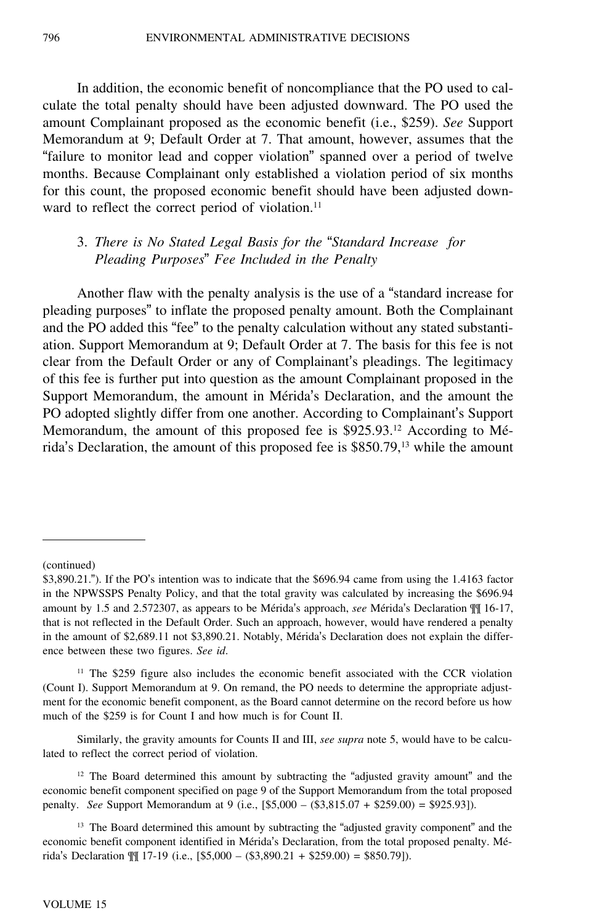In addition, the economic benefit of noncompliance that the PO used to calculate the total penalty should have been adjusted downward. The PO used the amount Complainant proposed as the economic benefit (i.e., \$259). *See* Support Memorandum at 9; Default Order at 7. That amount, however, assumes that the "failure to monitor lead and copper violation" spanned over a period of twelve months. Because Complainant only established a violation period of six months for this count, the proposed economic benefit should have been adjusted downward to reflect the correct period of violation.<sup>11</sup>

# 3. *There is No Stated Legal Basis for the* "*Standard Increase for Pleading Purposes*" *Fee Included in the Penalty*

Another flaw with the penalty analysis is the use of a "standard increase for pleading purposes" to inflate the proposed penalty amount. Both the Complainant and the PO added this "fee" to the penalty calculation without any stated substantiation. Support Memorandum at 9; Default Order at 7. The basis for this fee is not clear from the Default Order or any of Complainant's pleadings. The legitimacy of this fee is further put into question as the amount Complainant proposed in the Support Memorandum, the amount in Mérida's Declaration, and the amount the PO adopted slightly differ from one another. According to Complainant's Support Memorandum, the amount of this proposed fee is \$925.93.<sup>12</sup> According to Mérida's Declaration, the amount of this proposed fee is \$850.79,<sup>13</sup> while the amount

Similarly, the gravity amounts for Counts II and III, *see supra* note 5, would have to be calculated to reflect the correct period of violation.

 $12$  The Board determined this amount by subtracting the "adjusted gravity amount" and the economic benefit component specified on page 9 of the Support Memorandum from the total proposed penalty. *See* Support Memorandum at 9 (i.e., [\$5,000 – (\$3,815.07 + \$259.00) = \$925.93]).

<sup>13</sup> The Board determined this amount by subtracting the "adjusted gravity component" and the economic benefit component identified in Mérida's Declaration, from the total proposed penalty. Mérida's Declaration  $\mathbb{M}$  17-19 (i.e., [\$5,000 – (\$3,890.21 + \$259.00) = \$850.79]).

<sup>(</sup>continued)

<sup>\$3,890.21.</sup>"). If the PO's intention was to indicate that the \$696.94 came from using the 1.4163 factor in the NPWSSPS Penalty Policy, and that the total gravity was calculated by increasing the \$696.94 amount by 1.5 and 2.572307, as appears to be Mérida's approach, see Mérida's Declaration  $\P\P$  16-17, that is not reflected in the Default Order. Such an approach, however, would have rendered a penalty in the amount of \$2,689.11 not \$3,890.21. Notably, Mérida's Declaration does not explain the difference between these two figures. *See id*.

<sup>&</sup>lt;sup>11</sup> The \$259 figure also includes the economic benefit associated with the CCR violation (Count I). Support Memorandum at 9. On remand, the PO needs to determine the appropriate adjustment for the economic benefit component, as the Board cannot determine on the record before us how much of the \$259 is for Count I and how much is for Count II.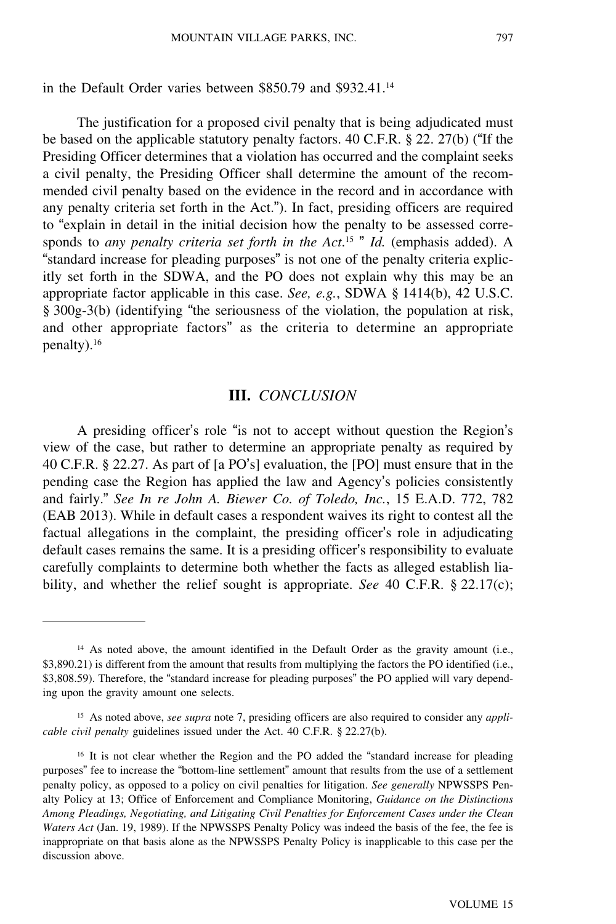#### in the Default Order varies between \$850.79 and \$932.41.<sup>14</sup>

The justification for a proposed civil penalty that is being adjudicated must be based on the applicable statutory penalty factors. 40 C.F.R. § 22. 27(b) ("If the Presiding Officer determines that a violation has occurred and the complaint seeks a civil penalty, the Presiding Officer shall determine the amount of the recommended civil penalty based on the evidence in the record and in accordance with any penalty criteria set forth in the Act."). In fact, presiding officers are required to "explain in detail in the initial decision how the penalty to be assessed corresponds to *any penalty criteria set forth in the Act*. 15 " *Id.* (emphasis added). A "standard increase for pleading purposes" is not one of the penalty criteria explicitly set forth in the SDWA, and the PO does not explain why this may be an appropriate factor applicable in this case. *See, e.g.*, SDWA § 1414(b), 42 U.S.C. § 300g-3(b) (identifying "the seriousness of the violation, the population at risk, and other appropriate factors" as the criteria to determine an appropriate penalty).<sup>16</sup>

#### **III.** *CONCLUSION*

A presiding officer's role "is not to accept without question the Region'<sup>s</sup> view of the case, but rather to determine an appropriate penalty as required by 40 C.F.R. § 22.27. As part of [a PO's] evaluation, the [PO] must ensure that in the pending case the Region has applied the law and Agency's policies consistently and fairly." *See In re John A. Biewer Co. of Toledo, Inc.*, 15 E.A.D. 772, 782 (EAB 2013). While in default cases a respondent waives its right to contest all the factual allegations in the complaint, the presiding officer's role in adjudicating default cases remains the same. It is a presiding officer's responsibility to evaluate carefully complaints to determine both whether the facts as alleged establish liability, and whether the relief sought is appropriate. *See* 40 C.F.R. § 22.17(c);

<sup>&</sup>lt;sup>14</sup> As noted above, the amount identified in the Default Order as the gravity amount (i.e., \$3,890.21) is different from the amount that results from multiplying the factors the PO identified (i.e., \$3,808.59). Therefore, the "standard increase for pleading purposes" the PO applied will vary depending upon the gravity amount one selects.

<sup>15</sup> As noted above, *see supra* note 7, presiding officers are also required to consider any *applicable civil penalty* guidelines issued under the Act. 40 C.F.R. § 22.27(b).

<sup>16</sup> It is not clear whether the Region and the PO added the "standard increase for pleading purposes" fee to increase the "bottom-line settlement" amount that results from the use of a settlement penalty policy, as opposed to a policy on civil penalties for litigation. *See generally* NPWSSPS Penalty Policy at 13; Office of Enforcement and Compliance Monitoring, *Guidance on the Distinctions Among Pleadings, Negotiating, and Litigating Civil Penalties for Enforcement Cases under the Clean Waters Act* (Jan. 19, 1989). If the NPWSSPS Penalty Policy was indeed the basis of the fee, the fee is inappropriate on that basis alone as the NPWSSPS Penalty Policy is inapplicable to this case per the discussion above.